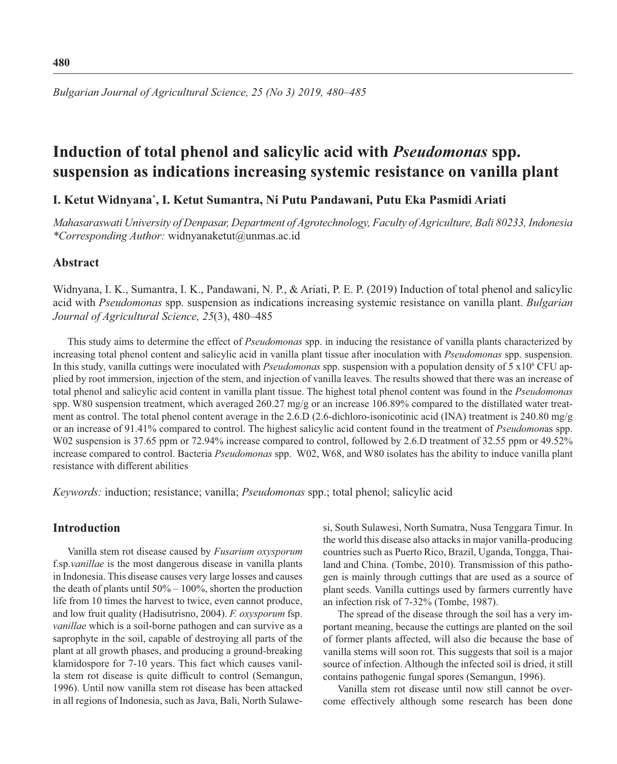**480**

*Bulgarian Journal of Agricultural Science, 25 (No 3) 2019, 480–485*

# **Induction of total phenol and salicylic acid with** *Pseudomonas* **spp. suspension as indications increasing systemic resistance on vanilla plant**

# **I. Ketut Widnyana\* , I. Ketut Sumantra, Ni Putu Pandawani, Putu Eka Pasmidi Ariati**

*Mahasaraswati University of Denpasar, Department of Agrotechnology, Faculty of Agriculture, Bali 80233, Indonesia \*Corresponding Author:* widnyanaketut@unmas.ac.id

## **Abstract**

Widnyana, I. K., Sumantra, I. K., Pandawani, N. P., & Ariati, P. E. P. (2019) Induction of total phenol and salicylic acid with *Pseudomonas* spp. suspension as indications increasing systemic resistance on vanilla plant. *Bulgarian Journal of Agricultural Science, 25*(3), 480–485

This study aims to determine the effect of *Pseudomonas* spp. in inducing the resistance of vanilla plants characterized by increasing total phenol content and salicylic acid in vanilla plant tissue after inoculation with *Pseudomonas* spp. suspension. In this study, vanilla cuttings were inoculated with *Pseudomonas* spp. suspension with a population density of 5 x10<sup>6</sup> CFU applied by root immersion, injection of the stem, and injection of vanilla leaves. The results showed that there was an increase of total phenol and salicylic acid content in vanilla plant tissue. The highest total phenol content was found in the *Pseudomonas* spp. W80 suspension treatment, which averaged 260.27 mg/g or an increase 106.89% compared to the distillated water treatment as control. The total phenol content average in the 2.6.D (2.6-dichloro-isonicotinic acid (INA) treatment is 240.80 mg/g or an increase of 91.41% compared to control. The highest salicylic acid content found in the treatment of *Pseudomon*as spp. W02 suspension is 37.65 ppm or 72.94% increase compared to control, followed by 2.6.D treatment of 32.55 ppm or 49.52% increase compared to control. Bacteria *Pseudomonas* spp. W02, W68, and W80 isolates has the ability to induce vanilla plant resistance with different abilities

*Keywords:* induction; resistance; vanilla; *Pseudomonas* spp.; total phenol; salicylic acid

# **Introduction**

Vanilla stem rot disease caused by *Fusarium oxysporum* f.sp.*vanillae* is the most dangerous disease in vanilla plants in Indonesia. This disease causes very large losses and causes the death of plants until  $50\% - 100\%$ , shorten the production life from 10 times the harvest to twice, even cannot produce, and low fruit quality (Hadisutrisno, 2004). *F. oxysporum* fsp. *vanillae* which is a soil-borne pathogen and can survive as a saprophyte in the soil, capable of destroying all parts of the plant at all growth phases, and producing a ground-breaking klamidospore for 7-10 years. This fact which causes vanilla stem rot disease is quite difficult to control (Semangun, 1996). Until now vanilla stem rot disease has been attacked in all regions of Indonesia, such as Java, Bali, North Sulawesi, South Sulawesi, North Sumatra, Nusa Tenggara Timur. In the world this disease also attacks in major vanilla-producing countries such as Puerto Rico, Brazil, Uganda, Tongga, Thailand and China. (Tombe, 2010). Transmission of this pathogen is mainly through cuttings that are used as a source of plant seeds. Vanilla cuttings used by farmers currently have an infection risk of 7-32% (Tombe, 1987).

The spread of the disease through the soil has a very important meaning, because the cuttings are planted on the soil of former plants affected, will also die because the base of vanilla stems will soon rot. This suggests that soil is a major source of infection. Although the infected soil is dried, it still contains pathogenic fungal spores (Semangun, 1996).

Vanilla stem rot disease until now still cannot be overcome effectively although some research has been done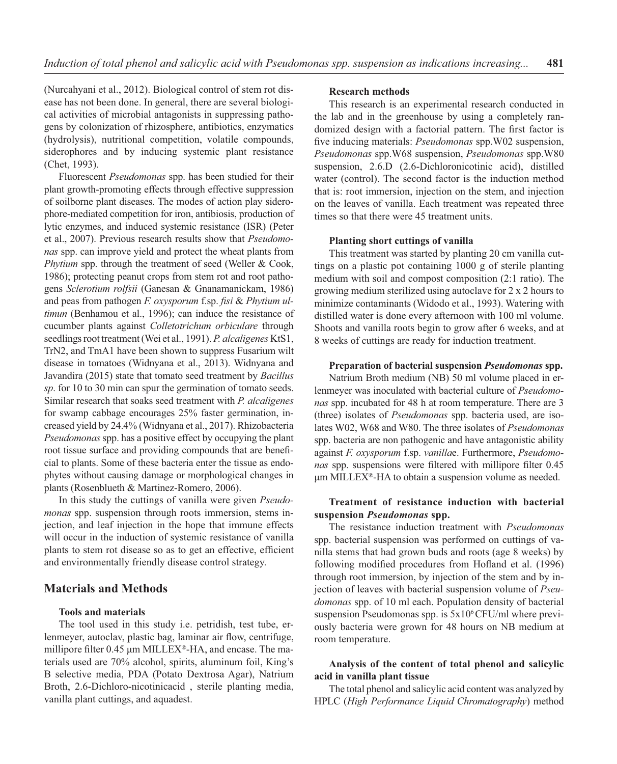(Nurcahyani et al., 2012). Biological control of stem rot disease has not been done. In general, there are several biological activities of microbial antagonists in suppressing pathogens by colonization of rhizosphere, antibiotics, enzymatics (hydrolysis), nutritional competition, volatile compounds, siderophores and by inducing systemic plant resistance (Chet, 1993).

Fluorescent *Pseudomonas* spp. has been studied for their plant growth-promoting effects through effective suppression of soilborne plant diseases. The modes of action play siderophore-mediated competition for iron, antibiosis, production of lytic enzymes, and induced systemic resistance (ISR) (Peter et al., 2007). Previous research results show that *Pseudomonas* spp. can improve yield and protect the wheat plants from *Phytium* spp. through the treatment of seed (Weller & Cook, 1986); protecting peanut crops from stem rot and root pathogens *Sclerotium rolfsii* (Ganesan & Gnanamanickam, 1986) and peas from pathogen *F. oxysporum* f.sp. *fisi* & *Phytium ultimun* (Benhamou et al., 1996); can induce the resistance of cucumber plants against *Colletotrichum orbiculare* through seedlings root treatment (Wei et al., 1991). *P. alcaligenes* KtS1, TrN2, and TmA1 have been shown to suppress Fusarium wilt disease in tomatoes (Widnyana et al., 2013). Widnyana and Javandira (2015) state that tomato seed treatment by *Bacillus sp*. for 10 to 30 min can spur the germination of tomato seeds. Similar research that soaks seed treatment with *P. alcaligenes* for swamp cabbage encourages 25% faster germination, increased yield by 24.4% (Widnyana et al., 2017). Rhizobacteria *Pseudomonas* spp. has a positive effect by occupying the plant root tissue surface and providing compounds that are beneficial to plants. Some of these bacteria enter the tissue as endophytes without causing damage or morphological changes in plants (Rosenblueth & Martinez-Romero, 2006).

In this study the cuttings of vanilla were given *Pseudomonas* spp. suspension through roots immersion, stems injection, and leaf injection in the hope that immune effects will occur in the induction of systemic resistance of vanilla plants to stem rot disease so as to get an effective, efficient and environmentally friendly disease control strategy.

# **Materials and Methods**

# **Tools and materials**

The tool used in this study i.e. petridish, test tube, erlenmeyer, autoclav, plastic bag, laminar air flow, centrifuge, millipore filter  $0.45 \mu$ m MILLEX®-HA, and encase. The materials used are 70% alcohol, spirits, aluminum foil, King's B selective media, PDA (Potato Dextrosa Agar), Natrium Broth, 2.6-Dichloro-nicotinicacid , sterile planting media, vanilla plant cuttings, and aquadest.

#### **Research methods**

This research is an experimental research conducted in the lab and in the greenhouse by using a completely randomized design with a factorial pattern. The first factor is five inducing materials: *Pseudomonas* spp. W02 suspension, *Pseudomonas* spp.W68 suspension, *Pseudomonas* spp.W80 suspension, 2.6.D (2.6-Dichloronicotinic acid), distilled water (control). The second factor is the induction method that is: root immersion, injection on the stem, and injection on the leaves of vanilla. Each treatment was repeated three times so that there were 45 treatment units.

#### **Planting short cuttings of vanilla**

This treatment was started by planting 20 cm vanilla cuttings on a plastic pot containing 1000 g of sterile planting medium with soil and compost composition (2:1 ratio). The growing medium sterilized using autoclave for 2 x 2 hours to minimize contaminants (Widodo et al., 1993). Watering with distilled water is done every afternoon with 100 ml volume. Shoots and vanilla roots begin to grow after 6 weeks, and at 8 weeks of cuttings are ready for induction treatment.

#### **Preparation of bacterial suspension** *Pseudomonas* **spp.**

Natrium Broth medium (NB) 50 ml volume placed in erlenmeyer was inoculated with bacterial culture of *Pseudomonas* spp. incubated for 48 h at room temperature. There are 3 (three) isolates of *Pseudomonas* spp. bacteria used, are isolates W02, W68 and W80. The three isolates of *Pseudomonas* spp. bacteria are non pathogenic and have antagonistic ability against *F. oxysporum* f.sp. *vanilla*e. Furthermore, *Pseudomonas* spp. suspensions were filtered with millipore filter 0.45 μm MILLEX®-HA to obtain a suspension volume as needed.

#### **Treatment of resistance induction with bacterial suspension** *Pseudomonas* **spp.**

The resistance induction treatment with *Pseudomonas* spp. bacterial suspension was performed on cuttings of vanilla stems that had grown buds and roots (age 8 weeks) by following modified procedures from Hofland et al. (1996) through root immersion, by injection of the stem and by injection of leaves with bacterial suspension volume of *Pseudomonas* spp. of 10 ml each. Population density of bacterial suspension Pseudomonas spp. is 5x106 CFU/ml where previously bacteria were grown for 48 hours on NB medium at room temperature.

## **Analysis of the content of total phenol and salicylic acid in vanilla plant tissue**

The total phenol and salicylic acid content was analyzed by HPLC (*High Performance Liquid Chromatography*) method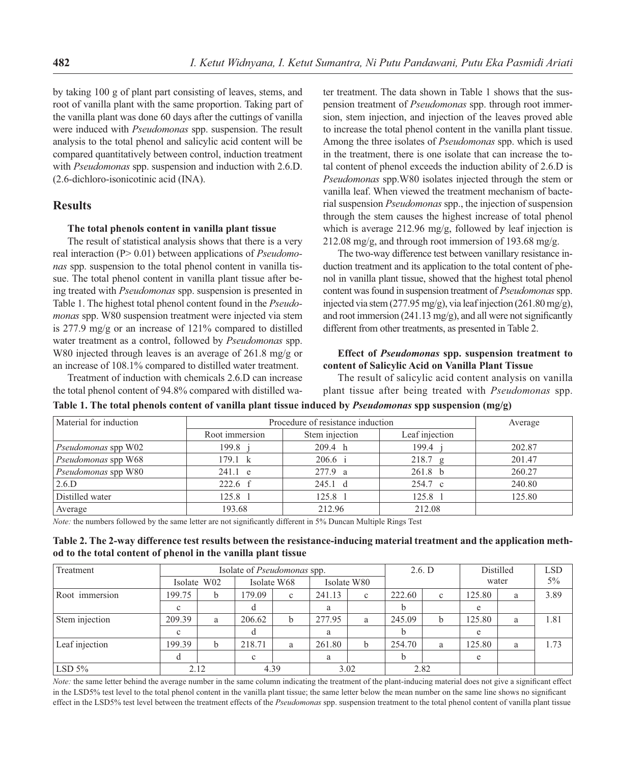by taking 100 g of plant part consisting of leaves, stems, and root of vanilla plant with the same proportion. Taking part of the vanilla plant was done 60 days after the cuttings of vanilla were induced with *Pseudomonas* spp. suspension. The result analysis to the total phenol and salicylic acid content will be compared quantitatively between control, induction treatment with *Pseudomonas* spp. suspension and induction with 2.6.D. (2.6-dichloro-isonicotinic acid (INA).

## **Results**

#### **The total phenols content in vanilla plant tissue**

The result of statistical analysis shows that there is a very real interaction (P> 0.01) between applications of *Pseudomonas* spp. suspension to the total phenol content in vanilla tissue. The total phenol content in vanilla plant tissue after being treated with *Pseudomonas* spp. suspension is presented in Table 1. The highest total phenol content found in the *Pseudomonas* spp. W80 suspension treatment were injected via stem is 277.9 mg/g or an increase of 121% compared to distilled water treatment as a control, followed by *Pseudomonas* spp. W80 injected through leaves is an average of 261.8 mg/g or an increase of 108.1% compared to distilled water treatment.

Treatment of induction with chemicals 2.6.D can increase the total phenol content of 94.8% compared with distilled water treatment. The data shown in Table 1 shows that the suspension treatment of *Pseudomonas* spp. through root immersion, stem injection, and injection of the leaves proved able to increase the total phenol content in the vanilla plant tissue. Among the three isolates of *Pseudomonas* spp. which is used in the treatment, there is one isolate that can increase the total content of phenol exceeds the induction ability of 2.6.D is *Pseudomonas* spp.W80 isolates injected through the stem or vanilla leaf. When viewed the treatment mechanism of bacterial suspension *Pseudomonas* spp., the injection of suspension through the stem causes the highest increase of total phenol which is average 212.96 mg/g, followed by leaf injection is 212.08 mg/g, and through root immersion of 193.68 mg/g.

The two-way difference test between vanillary resistance induction treatment and its application to the total content of phenol in vanilla plant tissue, showed that the highest total phenol content was found in suspension treatment of *Pseudomonas* spp. injected via stem (277.95 mg/g), via leaf injection (261.80 mg/g), and root immersion  $(241.13 \text{ mg/g})$ , and all were not significantly different from other treatments, as presented in Table 2.

#### **Effect of** *Pseudomonas* **spp. suspension treatment to content of Salicylic Acid on Vanilla Plant Tissue**

The result of salicylic acid content analysis on vanilla plant tissue after being treated with *Pseudomonas* spp.

| Material for induction | Procedure of resistance induction | Average           |                    |        |
|------------------------|-----------------------------------|-------------------|--------------------|--------|
|                        | Root immersion                    | Stem injection    | Leaf injection     |        |
| Pseudomonas spp W02    | 199.8 i                           | 209.4 h           | 199.4 i            | 202.87 |
| Pseudomonas spp W68    | $179.1 \text{ k}$                 | 206.6 i           | 218.7 g            | 201.47 |
| Pseudomonas spp W80    | $241.1$ e                         | 277.9 a           | 261.8 <sub>b</sub> | 260.27 |
| 2.6.D                  | $222.6 \text{ f}$                 | $245.1 \text{ d}$ | 254.7 c            | 240.80 |
| Distilled water        | 125.8 1                           | 125.8 1           | 125.8 1            | 125.80 |
| Average                | 193.68                            | 212.96            | 212.08             |        |

**Table 1. The total phenols content of vanilla plant tissue induced by** *Pseudomonas* **spp suspension (mg/g)**

*Note:* the numbers followed by the same letter are not significantly different in 5% Duncan Multiple Rings Test

| Table 2. The 2-way difference test results between the resistance-inducing material treatment and the application meth- |  |
|-------------------------------------------------------------------------------------------------------------------------|--|
| od to the total content of phenol in the vanilla plant tissue                                                           |  |

| Treatment      | Isolate of <i>Pseudomonas</i> spp. |             |                            |             |        |              | 2.6. D |   | Distilled |   | <b>LSD</b> |
|----------------|------------------------------------|-------------|----------------------------|-------------|--------|--------------|--------|---|-----------|---|------------|
|                |                                    | Isolate W02 | Isolate W68<br>Isolate W80 |             |        |              | water  |   | $5\%$     |   |            |
| Root immersion | 199.75                             | b           | 179.09                     | $\mathbf c$ | 241.13 | $\mathbf{c}$ | 222.60 | c | 125.80    | a | 3.89       |
|                | $\mathbf{c}$                       |             |                            |             | a      |              |        |   | e         |   |            |
| Stem injection | 209.39                             | a           | 206.62                     | b           | 277.95 | a            | 245.09 | b | 125.80    | a | 1.81       |
|                | $\mathbf{c}$                       |             |                            |             | a      |              |        |   | e         |   |            |
| Leaf injection | 199.39                             | b           | 218.71                     | a           | 261.80 | b            | 254.70 | a | 125.80    | a | 1.73       |
|                | đ                                  |             | c                          |             | a      |              |        |   | e         |   |            |
| LSD $5\%$      |                                    | 2.12        | 4.39<br>3.02               |             | 2.82   |              |        |   |           |   |            |

*Note:* the same letter behind the average number in the same column indicating the treatment of the plant-inducing material does not give a significant effect in the LSD5% test level to the total phenol content in the vanilla plant tissue; the same letter below the mean number on the same line shows no significant effect in the LSD5% test level between the treatment effects of the *Pseudomonas* spp. suspension treatment to the total phenol content of vanilla plant tissue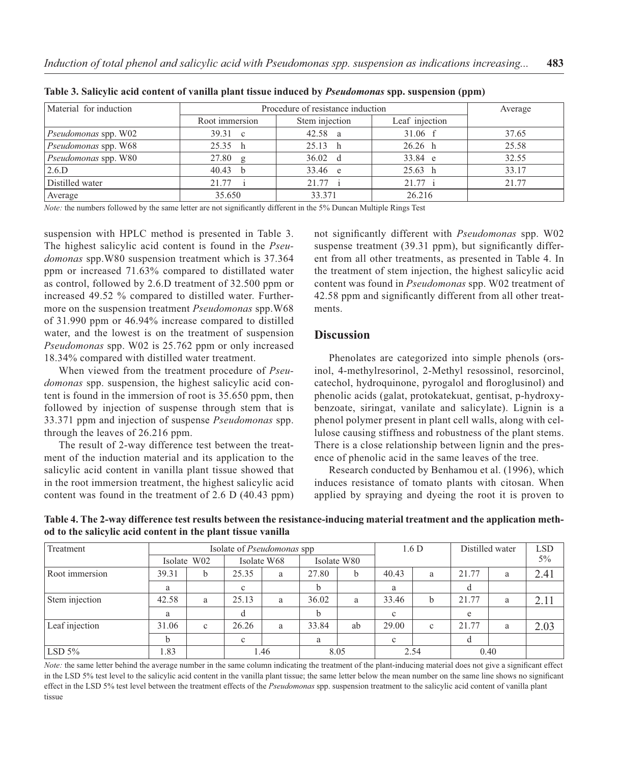| Material for induction      | Procedure of resistance induction |                                  |                   |       |  |  |  |
|-----------------------------|-----------------------------------|----------------------------------|-------------------|-------|--|--|--|
|                             | Root immersion                    | Stem injection<br>Leaf injection |                   |       |  |  |  |
| Pseudomonas spp. W02        | $39.31 \text{ c}$                 | 42.58 a                          | $31.06 \text{ f}$ | 37.65 |  |  |  |
| <i>Pseudomonas</i> spp. W68 | 25.35 h                           | 25.13<br>h h                     | 26.26 h           | 25.58 |  |  |  |
| Pseudomonas spp. W80        | $27.80$ g                         | $36.02 \text{ d}$                | 33.84 e           | 32.55 |  |  |  |
| 2.6.D                       | $40.43$ b                         | 33.46 e                          | 25.63 h           | 33.17 |  |  |  |
| Distilled water             | 21.77 i                           | 21.77 i                          | 21.77 i           | 21.77 |  |  |  |
| Average                     | 35.650                            | 33.371                           | 26.216            |       |  |  |  |

**Table 3. Salicylic acid content of vanilla plant tissue induced by** *Pseudomonas* **spp. suspension (ppm)**

*Note:* the numbers followed by the same letter are not significantly different in the 5% Duncan Multiple Rings Test

suspension with HPLC method is presented in Table 3. The highest salicylic acid content is found in the *Pseudomonas* spp.W80 suspension treatment which is 37.364 ppm or increased 71.63% compared to distillated water as control, followed by 2.6.D treatment of 32.500 ppm or increased 49.52 % compared to distilled water. Furthermore on the suspension treatment *Pseudomonas* spp.W68 of 31.990 ppm or 46.94% increase compared to distilled water, and the lowest is on the treatment of suspension *Pseudomonas* spp. W02 is 25.762 ppm or only increased 18.34% compared with distilled water treatment.

When viewed from the treatment procedure of *Pseudomonas* spp. suspension, the highest salicylic acid content is found in the immersion of root is 35.650 ppm, then followed by injection of suspense through stem that is 33.371 ppm and injection of suspense *Pseudomonas* spp. through the leaves of 26.216 ppm.

The result of 2-way difference test between the treatment of the induction material and its application to the salicylic acid content in vanilla plant tissue showed that in the root immersion treatment, the highest salicylic acid content was found in the treatment of 2.6 D (40.43 ppm) not significantly different with *Pseudomonas* spp. W02 suspense treatment  $(39.31$  ppm), but significantly different from all other treatments, as presented in Table 4. In the treatment of stem injection, the highest salicylic acid content was found in *Pseudomonas* spp. W02 treatment of 42.58 ppm and significantly different from all other treatments.

#### **Discussion**

Phenolates are categorized into simple phenols (orsinol, 4-methylresorinol, 2-Methyl resossinol, resorcinol, catechol, hydroquinone, pyrogalol and floroglusinol) and phenolic acids (galat, protokatekuat, gentisat, p-hydroxybenzoate, siringat, vanilate and salicylate). Lignin is a phenol polymer present in plant cell walls, along with cellulose causing stiffness and robustness of the plant stems. There is a close relationship between lignin and the presence of phenolic acid in the same leaves of the tree.

Research conducted by Benhamou et al. (1996), which induces resistance of tomato plants with citosan. When applied by spraying and dyeing the root it is proven to

**Table 4. The 2-way difference test results between the resistance-inducing material treatment and the application method to the salicylic acid content in the plant tissue vanilla**

| Treatment      | Isolate of <i>Pseudomonas</i> spp |              |                            |   |       |      | 1.6 <sub>D</sub> |      | Distilled water |      | <b>LSD</b> |
|----------------|-----------------------------------|--------------|----------------------------|---|-------|------|------------------|------|-----------------|------|------------|
|                |                                   | Isolate W02  | Isolate W68<br>Isolate W80 |   |       |      |                  |      | $5\%$           |      |            |
| Root immersion | 39.31                             | b            | 25.35                      | a | 27.80 | b    | 40.43            | a    | 21.77           | a    | 2.41       |
|                | a                                 |              | c                          |   | b     |      | a                |      |                 |      |            |
| Stem injection | 42.58                             | a            | 25.13                      | a | 36.02 | a    | 33.46            | b    | 21.77           | a    | 2.11       |
|                | a                                 |              |                            |   | b     |      | $\mathbf{c}$     |      | e               |      |            |
| Leaf injection | 31.06                             | $\mathbf{c}$ | 26.26                      | a | 33.84 | ab   | 29.00            | c    | 21.77           | a    | 2.03       |
|                |                                   |              | c                          |   | a     |      | $\mathbf c$      |      |                 |      |            |
| $\vert$ LSD 5% | 1.83                              |              | 1.46                       |   |       | 8.05 |                  | 2.54 |                 | 0.40 |            |

*Note:* the same letter behind the average number in the same column indicating the treatment of the plant-inducing material does not give a significant effect in the LSD 5% test level to the salicylic acid content in the vanilla plant tissue; the same letter below the mean number on the same line shows no significant effect in the LSD 5% test level between the treatment effects of the *Pseudomonas* spp. suspension treatment to the salicylic acid content of vanilla plant tissue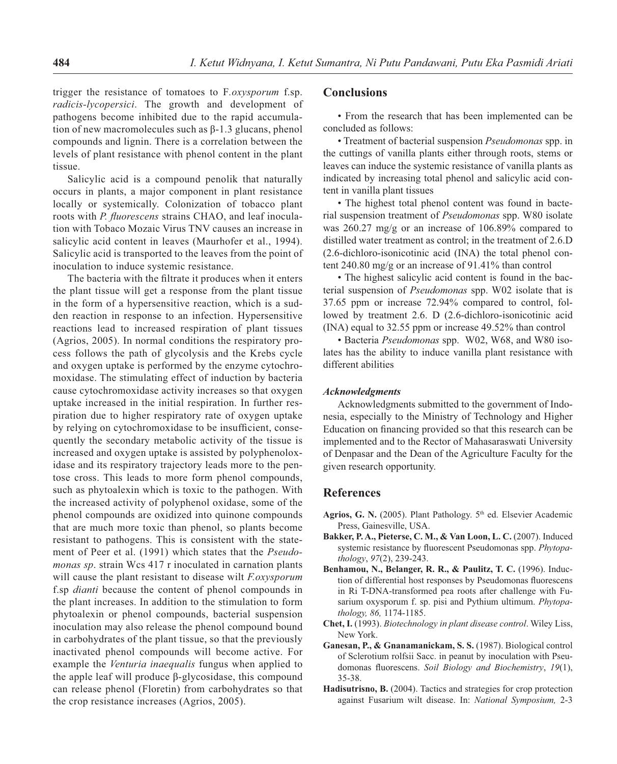trigger the resistance of tomatoes to F*.oxysporum* f.sp. *radicis-lycopersici*. The growth and development of pathogens become inhibited due to the rapid accumulation of new macromolecules such as β-1.3 glucans, phenol compounds and lignin. There is a correlation between the levels of plant resistance with phenol content in the plant tissue.

Salicylic acid is a compound penolik that naturally occurs in plants, a major component in plant resistance locally or systemically. Colonization of tobacco plant roots with *P. fluorescens* strains CHAO, and leaf inoculation with Tobaco Mozaic Virus TNV causes an increase in salicylic acid content in leaves (Maurhofer et al., 1994). Salicylic acid is transported to the leaves from the point of inoculation to induce systemic resistance.

The bacteria with the filtrate it produces when it enters the plant tissue will get a response from the plant tissue in the form of a hypersensitive reaction, which is a sudden reaction in response to an infection. Hypersensitive reactions lead to increased respiration of plant tissues (Agrios, 2005). In normal conditions the respiratory process follows the path of glycolysis and the Krebs cycle and oxygen uptake is performed by the enzyme cytochromoxidase. The stimulating effect of induction by bacteria cause cytochromoxidase activity increases so that oxygen uptake increased in the initial respiration. In further respiration due to higher respiratory rate of oxygen uptake by relying on cytochromoxidase to be insufficient, consequently the secondary metabolic activity of the tissue is increased and oxygen uptake is assisted by polyphenoloxidase and its respiratory trajectory leads more to the pentose cross. This leads to more form phenol compounds, such as phytoalexin which is toxic to the pathogen. With the increased activity of polyphenol oxidase, some of the phenol compounds are oxidized into quinone compounds that are much more toxic than phenol, so plants become resistant to pathogens. This is consistent with the statement of Peer et al. (1991) which states that the *Pseudomonas sp.* strain Wcs 417 r inoculated in carnation plants will cause the plant resistant to disease wilt *F.oxysporum* f.sp *dianti* because the content of phenol compounds in the plant increases. In addition to the stimulation to form phytoalexin or phenol compounds, bacterial suspension inoculation may also release the phenol compound bound in carbohydrates of the plant tissue, so that the previously inactivated phenol compounds will become active. For example the *Venturia inaequalis* fungus when applied to the apple leaf will produce β-glycosidase, this compound can release phenol (Floretin) from carbohydrates so that the crop resistance increases (Agrios, 2005).

## **Conclusions**

• From the research that has been implemented can be concluded as follows:

• Treatment of bacterial suspension *Pseudomonas* spp. in the cuttings of vanilla plants either through roots, stems or leaves can induce the systemic resistance of vanilla plants as indicated by increasing total phenol and salicylic acid content in vanilla plant tissues

• The highest total phenol content was found in bacterial suspension treatment of *Pseudomonas* spp. W80 isolate was 260.27 mg/g or an increase of 106.89% compared to distilled water treatment as control; in the treatment of 2.6.D (2.6-dichloro-isonicotinic acid (INA) the total phenol content 240.80 mg/g or an increase of 91.41% than control

• The highest salicylic acid content is found in the bacterial suspension of *Pseudomonas* spp. W02 isolate that is 37.65 ppm or increase 72.94% compared to control, followed by treatment 2.6. D (2.6-dichloro-isonicotinic acid (INA) equal to 32.55 ppm or increase 49.52% than control

• Bacteria *Pseudomonas* spp. W02, W68, and W80 isolates has the ability to induce vanilla plant resistance with different abilities

#### *Acknowledgments*

Acknowledgments submitted to the government of Indonesia, especially to the Ministry of Technology and Higher Education on financing provided so that this research can be implemented and to the Rector of Mahasaraswati University of Denpasar and the Dean of the Agriculture Faculty for the given research opportunity.

#### **References**

- Agrios, G. N. (2005). Plant Pathology. 5<sup>th</sup> ed. Elsevier Academic Press, Gainesville, USA.
- **Bakker, P. A., Pieterse, C. M., & Van Loon, L. C.** (2007). Induced systemic resistance by fluorescent Pseudomonas spp. Phytopa*thology*, *97*(2), 239-243.
- **Benhamou, N., Belanger, R. R., & Paulitz, T. C.** (1996). Induction of differential host responses by Pseudomonas fluorescens in Ri T-DNA-transformed pea roots after challenge with Fusarium oxysporum f. sp. pisi and Pythium ultimum. *Phytopathology, 86,* 1174-1185.
- **Chet, I.** (1993). *Biotechnology in plant disease control*. Wiley Liss, New York.
- **Ganesan, P., & Gnanamanickam, S. S.** (1987). Biological control of Sclerotium rolfsii Sacc. in peanut by inoculation with Pseudomonas fluorescens. *Soil Biology and Biochemistry*, 19(1), 35-38.
- **Hadisutrisno, B.** (2004). Tactics and strategies for crop protection against Fusarium wilt disease. In: *National Symposium,* 2-3